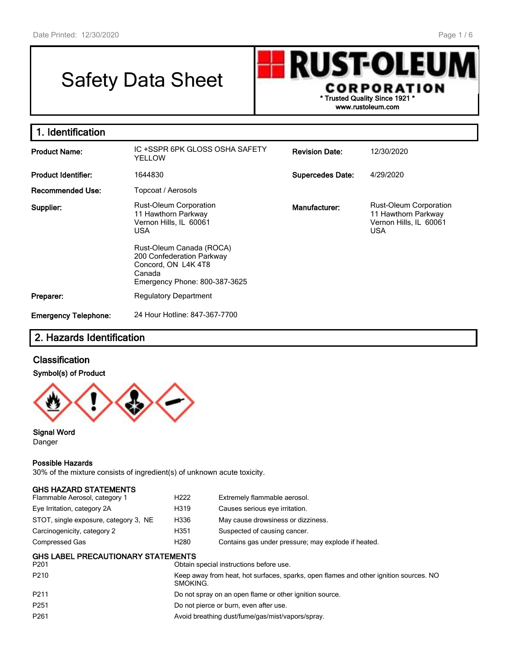г

# Safety Data Sheet



| 1. Identification           |                                                                                                                                                                                                                         |                         |                                                                                              |
|-----------------------------|-------------------------------------------------------------------------------------------------------------------------------------------------------------------------------------------------------------------------|-------------------------|----------------------------------------------------------------------------------------------|
| <b>Product Name:</b>        | IC +SSPR 6PK GLOSS OSHA SAFETY<br>YELLOW                                                                                                                                                                                | <b>Revision Date:</b>   | 12/30/2020                                                                                   |
| <b>Product Identifier:</b>  | 1644830                                                                                                                                                                                                                 | <b>Supercedes Date:</b> | 4/29/2020                                                                                    |
| Recommended Use:            | Topcoat / Aerosols                                                                                                                                                                                                      |                         |                                                                                              |
| Supplier:                   | <b>Rust-Oleum Corporation</b><br>11 Hawthorn Parkway<br>Vernon Hills, IL 60061<br><b>USA</b><br>Rust-Oleum Canada (ROCA)<br>200 Confederation Parkway<br>Concord, ON L4K 4T8<br>Canada<br>Emergency Phone: 800-387-3625 | Manufacturer:           | <b>Rust-Oleum Corporation</b><br>11 Hawthorn Parkway<br>Vernon Hills, IL 60061<br><b>USA</b> |
| Preparer:                   | <b>Regulatory Department</b>                                                                                                                                                                                            |                         |                                                                                              |
| <b>Emergency Telephone:</b> | 24 Hour Hotline: 847-367-7700                                                                                                                                                                                           |                         |                                                                                              |

## 2. Hazards Identification

## **Classification**

#### Symbol(s) of Product



Signal Word Danger

#### Possible Hazards

30% of the mixture consists of ingredient(s) of unknown acute toxicity.

| <b>GHS HAZARD STATEMENTS</b>                                  |                                                         |                                                                                       |  |  |
|---------------------------------------------------------------|---------------------------------------------------------|---------------------------------------------------------------------------------------|--|--|
| Flammable Aerosol, category 1                                 | H <sub>222</sub>                                        | Extremely flammable aerosol.                                                          |  |  |
| Eye Irritation, category 2A                                   | H319                                                    | Causes serious eye irritation.                                                        |  |  |
| STOT, single exposure, category 3, NE                         | H336                                                    | May cause drowsiness or dizziness.                                                    |  |  |
| Carcinogenicity, category 2                                   | H351                                                    | Suspected of causing cancer.                                                          |  |  |
| Compressed Gas                                                | H <sub>280</sub>                                        | Contains gas under pressure; may explode if heated.                                   |  |  |
| <b>GHS LABEL PRECAUTIONARY STATEMENTS</b><br>P <sub>201</sub> |                                                         | Obtain special instructions before use.                                               |  |  |
| P <sub>210</sub>                                              | SMOKING.                                                | Keep away from heat, hot surfaces, sparks, open flames and other ignition sources. NO |  |  |
| P <sub>211</sub>                                              | Do not spray on an open flame or other ignition source. |                                                                                       |  |  |
| P <sub>251</sub>                                              | Do not pierce or burn, even after use.                  |                                                                                       |  |  |
| P <sub>261</sub>                                              |                                                         | Avoid breathing dust/fume/gas/mist/vapors/spray.                                      |  |  |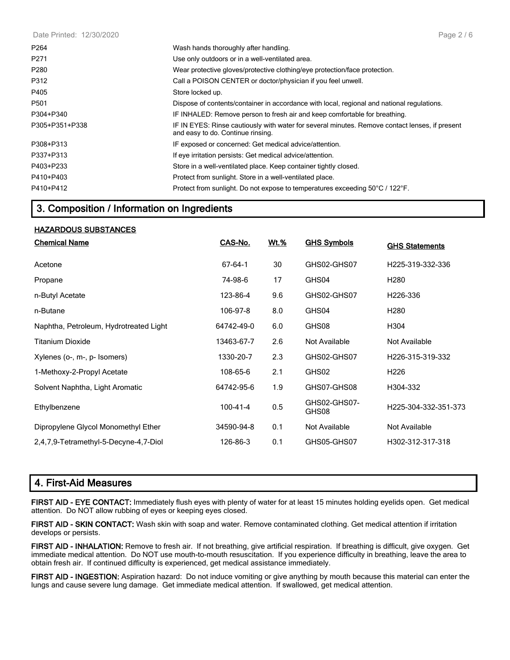| P <sub>264</sub> | Wash hands thoroughly after handling.                                                                                               |
|------------------|-------------------------------------------------------------------------------------------------------------------------------------|
| P <sub>271</sub> | Use only outdoors or in a well-ventilated area.                                                                                     |
| P280             | Wear protective gloves/protective clothing/eye protection/face protection.                                                          |
| P312             | Call a POISON CENTER or doctor/physician if you feel unwell.                                                                        |
| P405             | Store locked up.                                                                                                                    |
| P <sub>501</sub> | Dispose of contents/container in accordance with local, regional and national regulations.                                          |
| P304+P340        | IF INHALED: Remove person to fresh air and keep comfortable for breathing.                                                          |
| P305+P351+P338   | IF IN EYES: Rinse cautiously with water for several minutes. Remove contact lenses, if present<br>and easy to do. Continue rinsing. |
| P308+P313        | IF exposed or concerned: Get medical advice/attention.                                                                              |
| P337+P313        | If eye irritation persists: Get medical advice/attention.                                                                           |
| P403+P233        | Store in a well-ventilated place. Keep container tightly closed.                                                                    |
| P410+P403        | Protect from sunlight. Store in a well-ventilated place.                                                                            |
| P410+P412        | Protect from sunlight. Do not expose to temperatures exceeding 50°C / 122°F.                                                        |

## 3. Composition / Information on Ingredients

#### HAZARDOUS SUBSTANCES

| <b>Chemical Name</b>                   | CAS-No.    | <u>Wt.%</u> | <b>GHS Symbols</b>    | <b>GHS Statements</b> |
|----------------------------------------|------------|-------------|-----------------------|-----------------------|
| Acetone                                | 67-64-1    | 30          | GHS02-GHS07           | H225-319-332-336      |
| Propane                                | 74-98-6    | 17          | GHS04                 | H <sub>280</sub>      |
| n-Butyl Acetate                        | 123-86-4   | 9.6         | GHS02-GHS07           | H226-336              |
| n-Butane                               | 106-97-8   | 8.0         | GHS04                 | H <sub>280</sub>      |
| Naphtha, Petroleum, Hydrotreated Light | 64742-49-0 | 6.0         | GHS08                 | H304                  |
| Titanium Dioxide                       | 13463-67-7 | 2.6         | Not Available         | Not Available         |
| Xylenes (o-, m-, p- Isomers)           | 1330-20-7  | 2.3         | GHS02-GHS07           | H226-315-319-332      |
| 1-Methoxy-2-Propyl Acetate             | 108-65-6   | 2.1         | GHS02                 | H <sub>226</sub>      |
| Solvent Naphtha, Light Aromatic        | 64742-95-6 | 1.9         | GHS07-GHS08           | H304-332              |
| Ethylbenzene                           | 100-41-4   | 0.5         | GHS02-GHS07-<br>GHS08 | H225-304-332-351-373  |
| Dipropylene Glycol Monomethyl Ether    | 34590-94-8 | 0.1         | Not Available         | Not Available         |
| 2,4,7,9-Tetramethyl-5-Decyne-4,7-Diol  | 126-86-3   | 0.1         | GHS05-GHS07           | H302-312-317-318      |

## 4. First-Aid Measures

FIRST AID - EYE CONTACT: Immediately flush eyes with plenty of water for at least 15 minutes holding eyelids open. Get medical attention. Do NOT allow rubbing of eyes or keeping eyes closed.

FIRST AID - SKIN CONTACT: Wash skin with soap and water. Remove contaminated clothing. Get medical attention if irritation develops or persists.

FIRST AID - INHALATION: Remove to fresh air. If not breathing, give artificial respiration. If breathing is difficult, give oxygen. Get immediate medical attention. Do NOT use mouth-to-mouth resuscitation. If you experience difficulty in breathing, leave the area to obtain fresh air. If continued difficulty is experienced, get medical assistance immediately.

FIRST AID - INGESTION: Aspiration hazard: Do not induce vomiting or give anything by mouth because this material can enter the lungs and cause severe lung damage. Get immediate medical attention. If swallowed, get medical attention.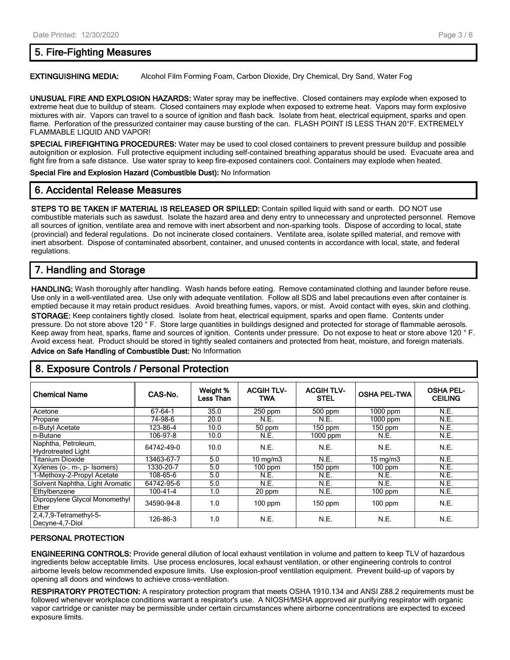## 5. Fire-Fighting Measures

EXTINGUISHING MEDIA: Alcohol Film Forming Foam, Carbon Dioxide, Dry Chemical, Dry Sand, Water Fog

UNUSUAL FIRE AND EXPLOSION HAZARDS: Water spray may be ineffective. Closed containers may explode when exposed to extreme heat due to buildup of steam. Closed containers may explode when exposed to extreme heat. Vapors may form explosive mixtures with air. Vapors can travel to a source of ignition and flash back. Isolate from heat, electrical equipment, sparks and open flame. Perforation of the pressurized container may cause bursting of the can. FLASH POINT IS LESS THAN 20°F. EXTREMELY FLAMMABLE LIQUID AND VAPOR!

SPECIAL FIREFIGHTING PROCEDURES: Water may be used to cool closed containers to prevent pressure buildup and possible autoignition or explosion. Full protective equipment including self-contained breathing apparatus should be used. Evacuate area and fight fire from a safe distance. Use water spray to keep fire-exposed containers cool. Containers may explode when heated.

Special Fire and Explosion Hazard (Combustible Dust): No Information

#### 6. Accidental Release Measures

STEPS TO BE TAKEN IF MATERIAL IS RELEASED OR SPILLED: Contain spilled liquid with sand or earth. DO NOT use combustible materials such as sawdust. Isolate the hazard area and deny entry to unnecessary and unprotected personnel. Remove all sources of ignition, ventilate area and remove with inert absorbent and non-sparking tools. Dispose of according to local, state (provincial) and federal regulations. Do not incinerate closed containers. Ventilate area, isolate spilled material, and remove with inert absorbent. Dispose of contaminated absorbent, container, and unused contents in accordance with local, state, and federal regulations.

## 7. Handling and Storage

HANDLING: Wash thoroughly after handling. Wash hands before eating. Remove contaminated clothing and launder before reuse. Use only in a well-ventilated area. Use only with adequate ventilation. Follow all SDS and label precautions even after container is emptied because it may retain product residues. Avoid breathing fumes, vapors, or mist. Avoid contact with eyes, skin and clothing.

STORAGE: Keep containers tightly closed. Isolate from heat, electrical equipment, sparks and open flame. Contents under pressure. Do not store above 120 ° F. Store large quantities in buildings designed and protected for storage of flammable aerosols. Keep away from heat, sparks, flame and sources of ignition. Contents under pressure. Do not expose to heat or store above 120 ° F. Avoid excess heat. Product should be stored in tightly sealed containers and protected from heat, moisture, and foreign materials. Advice on Safe Handling of Combustible Dust: No Information

## 8. Exposure Controls / Personal Protection

| <b>Chemical Name</b>                             | CAS-No.        | Weight %<br>Less Than | <b>ACGIH TLV-</b><br><b>TWA</b> | <b>ACGIH TLV-</b><br><b>STEL</b> | <b>OSHA PEL-TWA</b> | <b>OSHA PEL-</b><br><b>CEILING</b> |
|--------------------------------------------------|----------------|-----------------------|---------------------------------|----------------------------------|---------------------|------------------------------------|
| Acetone                                          | 67-64-1        | 35.0                  | $250$ ppm                       | 500 ppm                          | $1000$ ppm          | N.E.                               |
| Propane                                          | 74-98-6        | 20.0                  | N.E.                            | N.E.                             | 1000 ppm            | N.E.                               |
| n-Butyl Acetate                                  | 123-86-4       | 10.0                  | 50 ppm                          | $150$ ppm                        | $150$ ppm           | N.E.                               |
| n-Butane                                         | 106-97-8       | 10.0                  | N.E.                            | $1000$ ppm                       | N.E.                | N.E.                               |
| Naphtha, Petroleum,<br><b>Hydrotreated Light</b> | 64742-49-0     | 10.0                  | N.E.                            | N.E.                             | N.E.                | N.E.                               |
| <b>Titanium Dioxide</b>                          | 13463-67-7     | 5.0                   | $10 \text{ mg/m}$               | N.E.                             | $15 \text{ mg/m}$   | N.E.                               |
| Xylenes (o-, m-, p- Isomers)                     | 1330-20-7      | 5.0                   | $100$ ppm                       | 150 ppm                          | $100$ ppm           | N.E.                               |
| 1-Methoxy-2-Propyl Acetate                       | 108-65-6       | 5.0                   | N.E.                            | N.E.                             | N.E.                | N.E.                               |
| Solvent Naphtha, Light Aromatic                  | 64742-95-6     | 5.0                   | N.E.                            | N.E.                             | N.E.                | N.E.                               |
| Ethylbenzene                                     | $100 - 41 - 4$ | 1.0                   | 20 ppm                          | N.E.                             | $100$ ppm           | N.E.                               |
| Dipropylene Glycol Monomethyl<br>Ether           | 34590-94-8     | 1.0                   | $100$ ppm                       | $150$ ppm                        | $100$ ppm           | N.E.                               |
| 2,4,7,9-Tetramethyl-5-<br>Decyne-4,7-Diol        | 126-86-3       | 1.0                   | N.E.                            | N.E.                             | N.E.                | N.E.                               |

#### PERSONAL PROTECTION

ENGINEERING CONTROLS: Provide general dilution of local exhaust ventilation in volume and pattern to keep TLV of hazardous ingredients below acceptable limits. Use process enclosures, local exhaust ventilation, or other engineering controls to control airborne levels below recommended exposure limits. Use explosion-proof ventilation equipment. Prevent build-up of vapors by opening all doors and windows to achieve cross-ventilation.

RESPIRATORY PROTECTION: A respiratory protection program that meets OSHA 1910.134 and ANSI Z88.2 requirements must be followed whenever workplace conditions warrant a respirator's use. A NIOSH/MSHA approved air purifying respirator with organic vapor cartridge or canister may be permissible under certain circumstances where airborne concentrations are expected to exceed exposure limits.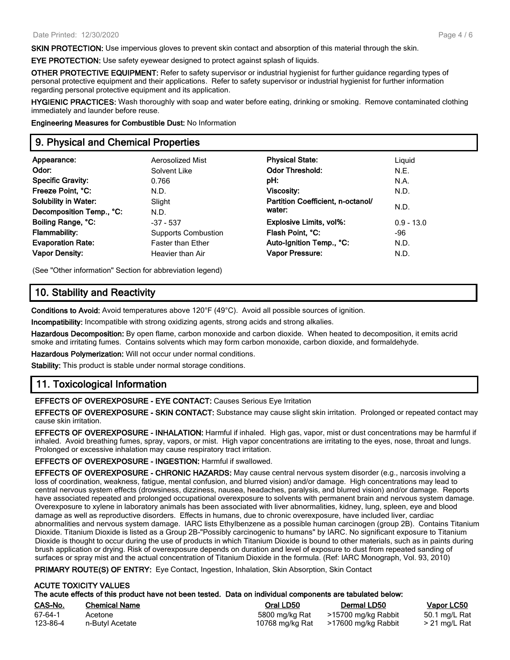**SKIN PROTECTION:** Use impervious gloves to prevent skin contact and absorption of this material through the skin.

EYE PROTECTION: Use safety eyewear designed to protect against splash of liquids.

OTHER PROTECTIVE EQUIPMENT: Refer to safety supervisor or industrial hygienist for further guidance regarding types of personal protective equipment and their applications. Refer to safety supervisor or industrial hygienist for further information regarding personal protective equipment and its application.

HYGIENIC PRACTICES: Wash thoroughly with soap and water before eating, drinking or smoking. Remove contaminated clothing immediately and launder before reuse.

Engineering Measures for Combustible Dust: No Information

## 9. Physical and Chemical Properties

| Appearance:<br>Aerosolized Mist                      | <b>Physical State:</b>            | Liquid       |  |
|------------------------------------------------------|-----------------------------------|--------------|--|
| Odor:<br>Solvent Like                                | <b>Odor Threshold:</b>            | N.E.         |  |
| <b>Specific Gravity:</b><br>0.766                    | pH:                               | N.A.         |  |
| Freeze Point, °C:<br>N.D.                            | Viscosity:                        | N.D.         |  |
| <b>Solubility in Water:</b><br>Slight                | Partition Coefficient, n-octanol/ |              |  |
| Decomposition Temp., °C:<br>N.D.                     | water:                            | N.D.         |  |
| Boiling Range, °C:<br>$-37 - 537$                    | <b>Explosive Limits, vol%:</b>    | $0.9 - 13.0$ |  |
| <b>Flammability:</b><br><b>Supports Combustion</b>   | Flash Point, °C:                  | -96          |  |
| <b>Evaporation Rate:</b><br><b>Faster than Ether</b> | Auto-Ignition Temp., °C:          | N.D.         |  |
| <b>Vapor Density:</b><br>Heavier than Air            | <b>Vapor Pressure:</b>            | N.D.         |  |

(See "Other information" Section for abbreviation legend)

## 10. Stability and Reactivity

Conditions to Avoid: Avoid temperatures above 120°F (49°C). Avoid all possible sources of ignition.

Incompatibility: Incompatible with strong oxidizing agents, strong acids and strong alkalies.

Hazardous Decomposition: By open flame, carbon monoxide and carbon dioxide. When heated to decomposition, it emits acrid smoke and irritating fumes. Contains solvents which may form carbon monoxide, carbon dioxide, and formaldehyde.

Hazardous Polymerization: Will not occur under normal conditions.

Stability: This product is stable under normal storage conditions.

## 11. Toxicological Information

EFFECTS OF OVEREXPOSURE - EYE CONTACT: Causes Serious Eye Irritation

EFFECTS OF OVEREXPOSURE - SKIN CONTACT: Substance may cause slight skin irritation. Prolonged or repeated contact may cause skin irritation.

EFFECTS OF OVEREXPOSURE - INHALATION: Harmful if inhaled. High gas, vapor, mist or dust concentrations may be harmful if inhaled. Avoid breathing fumes, spray, vapors, or mist. High vapor concentrations are irritating to the eyes, nose, throat and lungs. Prolonged or excessive inhalation may cause respiratory tract irritation.

EFFECTS OF OVEREXPOSURE - INGESTION: Harmful if swallowed.

EFFECTS OF OVEREXPOSURE - CHRONIC HAZARDS: May cause central nervous system disorder (e.g., narcosis involving a loss of coordination, weakness, fatigue, mental confusion, and blurred vision) and/or damage. High concentrations may lead to central nervous system effects (drowsiness, dizziness, nausea, headaches, paralysis, and blurred vision) and/or damage. Reports have associated repeated and prolonged occupational overexposure to solvents with permanent brain and nervous system damage. Overexposure to xylene in laboratory animals has been associated with liver abnormalities, kidney, lung, spleen, eye and blood damage as well as reproductive disorders. Effects in humans, due to chronic overexposure, have included liver, cardiac abnormalities and nervous system damage. IARC lists Ethylbenzene as a possible human carcinogen (group 2B). Contains Titanium Dioxide. Titanium Dioxide is listed as a Group 2B-"Possibly carcinogenic to humans" by IARC. No significant exposure to Titanium Dioxide is thought to occur during the use of products in which Titanium Dioxide is bound to other materials, such as in paints during brush application or drying. Risk of overexposure depends on duration and level of exposure to dust from repeated sanding of surfaces or spray mist and the actual concentration of Titanium Dioxide in the formula. (Ref: IARC Monograph, Vol. 93, 2010)

PRIMARY ROUTE(S) OF ENTRY: Eye Contact, Ingestion, Inhalation, Skin Absorption, Skin Contact

#### ACUTE TOXICITY VALUES The acute effects of this product have not been tested. Data on individual components are tabulated below:

| Oral LD50                                          | Dermal LD50         | <u>Vapor LC50</u>                |
|----------------------------------------------------|---------------------|----------------------------------|
| 5800 mg/kg Rat                                     | >15700 mg/kg Rabbit | 50.1 mg/L Rat<br>$>$ 21 mg/L Rat |
| <b>Chemical Name</b><br>Acetone<br>n-Butyl Acetate | 10768 mg/kg Rat     | >17600 mg/kg Rabbit              |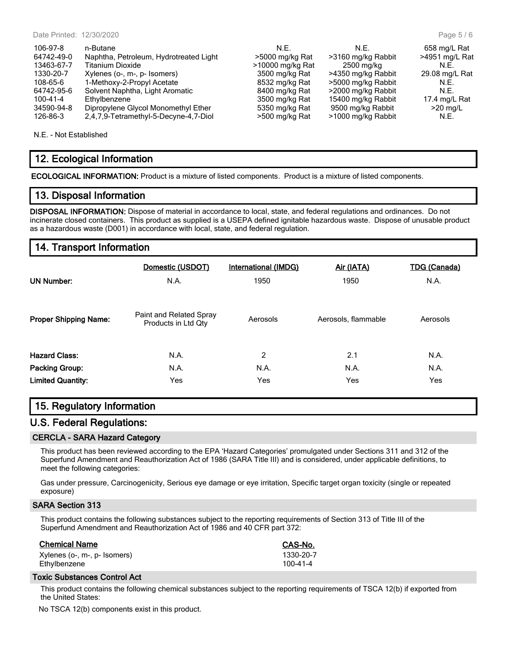| 106-97-8   | n-Butane                               | N.F.             | N.E.               | 658 mg/L Rat   |
|------------|----------------------------------------|------------------|--------------------|----------------|
| 64742-49-0 | Naphtha, Petroleum, Hydrotreated Light | >5000 mg/kg Rat  | >3160 mg/kg Rabbit | >4951 mg/L Rat |
| 13463-67-7 | Titanium Dioxide                       | >10000 mg/kg Rat | 2500 mg/kg         | N.F.           |
| 1330-20-7  | Xylenes (o-, m-, p- Isomers)           | 3500 mg/kg Rat   | >4350 mg/kg Rabbit | 29.08 mg/L Rat |
| 108-65-6   | 1-Methoxy-2-Propyl Acetate             | 8532 mg/kg Rat   | >5000 mg/kg Rabbit | N.E.           |
| 64742-95-6 | Solvent Naphtha, Light Aromatic        | 8400 mg/kg Rat   | >2000 mg/kg Rabbit | N.F.           |
| 100-41-4   | Ethylbenzene                           | 3500 mg/kg Rat   | 15400 mg/kg Rabbit | 17.4 mg/L Rat  |
| 34590-94-8 | Dipropylene Glycol Monomethyl Ether    | 5350 mg/kg Rat   | 9500 mg/kg Rabbit  | $>20$ mg/L     |
| 126-86-3   | 2,4,7,9-Tetramethyl-5-Decyne-4,7-Diol  | >500 mg/kg Rat   | >1000 mg/kg Rabbit | N.E.           |

N.E. - Not Established

#### 12. Ecological Information

ECOLOGICAL INFORMATION: Product is a mixture of listed components. Product is a mixture of listed components.

#### 13. Disposal Information

DISPOSAL INFORMATION: Dispose of material in accordance to local, state, and federal regulations and ordinances. Do not incinerate closed containers. This product as supplied is a USEPA defined ignitable hazardous waste. Dispose of unusable product as a hazardous waste (D001) in accordance with local, state, and federal regulation.

#### 14. Transport Information

| <b>UN Number:</b>            | Domestic (USDOT)<br>N.A.                       | International (IMDG)<br>1950 | Air (IATA)<br>1950  | <b>TDG (Canada)</b><br>N.A. |
|------------------------------|------------------------------------------------|------------------------------|---------------------|-----------------------------|
| <b>Proper Shipping Name:</b> | Paint and Related Spray<br>Products in Ltd Qty | Aerosols                     | Aerosols, flammable | Aerosols                    |
| <b>Hazard Class:</b>         | N.A.                                           | 2                            | 2.1                 | N.A.                        |
| Packing Group:               | N.A.                                           | N.A.                         | N.A.                | N.A.                        |
| <b>Limited Quantity:</b>     | Yes                                            | Yes                          | Yes                 | Yes                         |

## 15. Regulatory Information

#### U.S. Federal Regulations:

#### CERCLA - SARA Hazard Category

This product has been reviewed according to the EPA 'Hazard Categories' promulgated under Sections 311 and 312 of the Superfund Amendment and Reauthorization Act of 1986 (SARA Title III) and is considered, under applicable definitions, to meet the following categories:

Gas under pressure, Carcinogenicity, Serious eye damage or eye irritation, Specific target organ toxicity (single or repeated exposure)

#### SARA Section 313

This product contains the following substances subject to the reporting requirements of Section 313 of Title III of the Superfund Amendment and Reauthorization Act of 1986 and 40 CFR part 372:

#### Chemical Name Chemical Name CAS-No.

Xylenes (o-, m-, p- Isomers) 1330-20-7 Ethylbenzene

#### Toxic Substances Control Act

This product contains the following chemical substances subject to the reporting requirements of TSCA 12(b) if exported from the United States:

No TSCA 12(b) components exist in this product.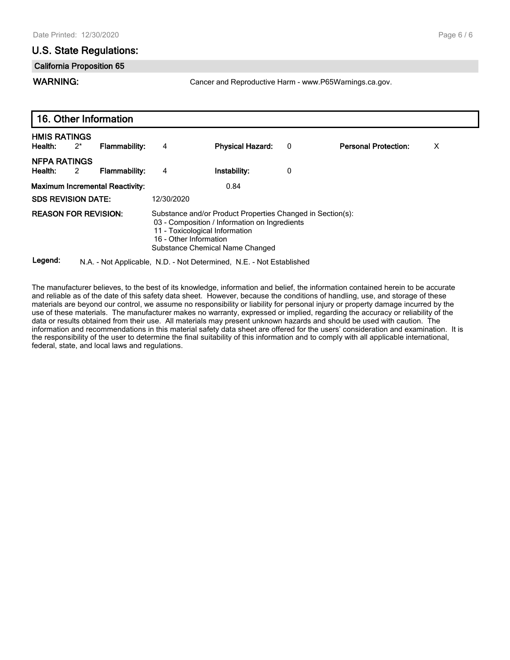#### Page 6 / 6

#### U.S. State Regulations:

#### California Proposition 65

WARNING: **Cancer and Reproductive Harm - www.P65Warnings.ca.gov.** 

| 16. Other Information                                                      |            |                                                                                                                                                                                                            |   |                             |   |  |
|----------------------------------------------------------------------------|------------|------------------------------------------------------------------------------------------------------------------------------------------------------------------------------------------------------------|---|-----------------------------|---|--|
| <b>HMIS RATINGS</b><br>$2^*$<br><b>Flammability:</b><br>Health:            | 4          | <b>Physical Hazard:</b>                                                                                                                                                                                    | 0 | <b>Personal Protection:</b> | X |  |
| <b>NFPA RATINGS</b><br>Health:<br>Flammability:<br>$\overline{\mathbf{2}}$ | 4          | Instability:                                                                                                                                                                                               | 0 |                             |   |  |
| <b>Maximum Incremental Reactivity:</b>                                     |            | 0.84                                                                                                                                                                                                       |   |                             |   |  |
| <b>SDS REVISION DATE:</b>                                                  | 12/30/2020 |                                                                                                                                                                                                            |   |                             |   |  |
| <b>REASON FOR REVISION:</b>                                                |            | Substance and/or Product Properties Changed in Section(s):<br>03 - Composition / Information on Ingredients<br>11 - Toxicological Information<br>16 - Other Information<br>Substance Chemical Name Changed |   |                             |   |  |

Legend: N.A. - Not Applicable, N.D. - Not Determined, N.E. - Not Established

The manufacturer believes, to the best of its knowledge, information and belief, the information contained herein to be accurate and reliable as of the date of this safety data sheet. However, because the conditions of handling, use, and storage of these materials are beyond our control, we assume no responsibility or liability for personal injury or property damage incurred by the use of these materials. The manufacturer makes no warranty, expressed or implied, regarding the accuracy or reliability of the data or results obtained from their use. All materials may present unknown hazards and should be used with caution. The information and recommendations in this material safety data sheet are offered for the users' consideration and examination. It is the responsibility of the user to determine the final suitability of this information and to comply with all applicable international, federal, state, and local laws and regulations.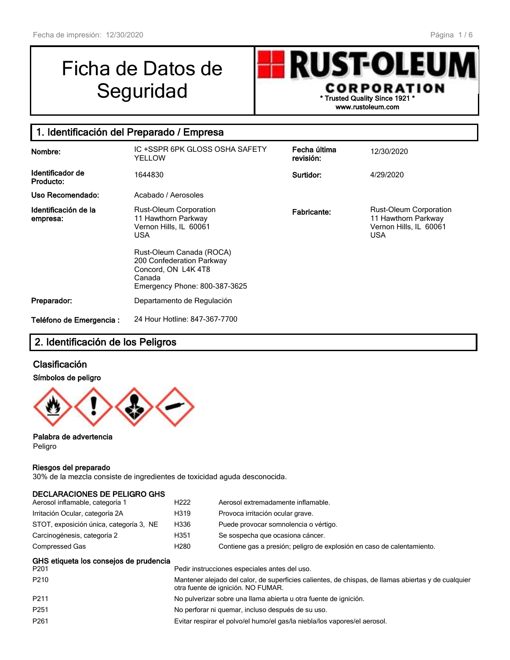# Ficha de Datos de



## 1. Identificación del Preparado / Empresa

| Nombre:                          | IC +SSPR 6PK GLOSS OSHA SAFETY<br>YELLOW                                                                                                                                                                         | Fecha última<br>revisión: | 12/30/2020                                                                                   |
|----------------------------------|------------------------------------------------------------------------------------------------------------------------------------------------------------------------------------------------------------------|---------------------------|----------------------------------------------------------------------------------------------|
| Identificador de<br>Producto:    | 1644830                                                                                                                                                                                                          | Surtidor:                 | 4/29/2020                                                                                    |
| Uso Recomendado:                 | Acabado / Aerosoles                                                                                                                                                                                              |                           |                                                                                              |
| Identificación de la<br>empresa: | <b>Rust-Oleum Corporation</b><br>11 Hawthorn Parkway<br>Vernon Hills, IL 60061<br>USA<br>Rust-Oleum Canada (ROCA)<br>200 Confederation Parkway<br>Concord, ON L4K 4T8<br>Canada<br>Emergency Phone: 800-387-3625 | <b>Fabricante:</b>        | <b>Rust-Oleum Corporation</b><br>11 Hawthorn Parkway<br>Vernon Hills, IL 60061<br><b>USA</b> |
| Preparador:                      | Departamento de Regulación                                                                                                                                                                                       |                           |                                                                                              |
| Teléfono de Emergencia :         | 24 Hour Hotline: 847-367-7700                                                                                                                                                                                    |                           |                                                                                              |

## 2. Identificación de los Peligros

#### Clasificación

#### Símbolos de peligro



#### Palabra de advertencia

Peligro

#### Riesgos del preparado

30% de la mezcla consiste de ingredientes de toxicidad aguda desconocida.

| <b>DECLARACIONES DE PELIGRO GHS</b><br>Aerosol inflamable, categoría 1 | H <sub>222</sub> | Aerosol extremadamente inflamable.                                                                                                        |
|------------------------------------------------------------------------|------------------|-------------------------------------------------------------------------------------------------------------------------------------------|
| Irritación Ocular, categoría 2A                                        | H319             | Provoca irritación ocular grave.                                                                                                          |
| STOT, exposición única, categoría 3, NE                                | H336             | Puede provocar somnolencia o vértigo.                                                                                                     |
| Carcinogénesis, categoría 2                                            | H351             | Se sospecha que ocasiona cáncer.                                                                                                          |
| Compressed Gas                                                         | H <sub>280</sub> | Contiene gas a presión; peligro de explosión en caso de calentamiento.                                                                    |
| GHS etiqueta los consejos de prudencia<br>P201                         |                  | Pedir instrucciones especiales antes del uso.                                                                                             |
| P210                                                                   |                  | Mantener alejado del calor, de superficies calientes, de chispas, de llamas abiertas y de cualquier<br>otra fuente de ignición. NO FUMAR. |

| P211 | No pulverizar sobre una llama abierta u otra fuente de ignición. |  |
|------|------------------------------------------------------------------|--|
|      |                                                                  |  |

- P251 No perforar ni quemar, incluso después de su uso.
- P261 Evitar respirar el polvo/el humo/el gas/la niebla/los vapores/el aerosol.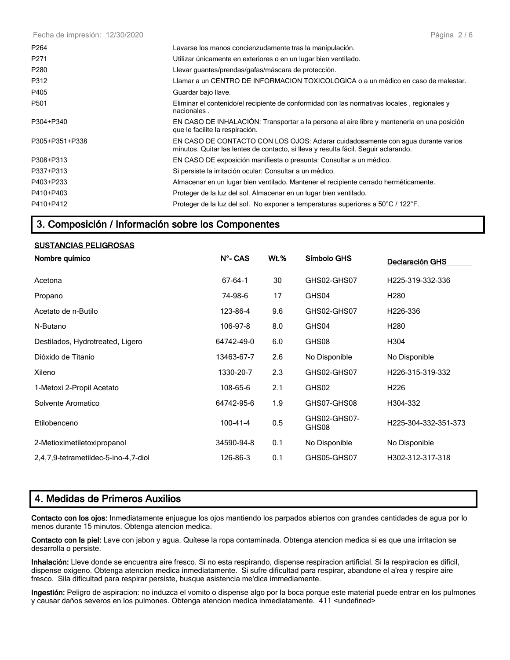Fecha de impresión: 12/30/2020

| P <sub>264</sub> | Lavarse los manos concienzudamente tras la manipulación.                                                                                                                |
|------------------|-------------------------------------------------------------------------------------------------------------------------------------------------------------------------|
| P <sub>271</sub> | Utilizar únicamente en exteriores o en un lugar bien ventilado.                                                                                                         |
| P280             | Llevar guantes/prendas/gafas/máscara de protección.                                                                                                                     |
| P312             | Llamar a un CENTRO DE INFORMACION TOXICOLOGICA o a un médico en caso de malestar.                                                                                       |
| P405             | Guardar bajo llave.                                                                                                                                                     |
| P501             | Eliminar el contenido/el recipiente de conformidad con las normativas locales, regionales y<br>nacionales.                                                              |
| P304+P340        | EN CASO DE INHALACIÓN: Transportar a la persona al aire libre y mantenerla en una posición<br>que le facilite la respiración.                                           |
| P305+P351+P338   | EN CASO DE CONTACTO CON LOS OJOS: Aclarar cuidadosamente con agua durante varios<br>minutos. Quitar las lentes de contacto, si lleva y resulta fácil. Seguir aclarando. |
| P308+P313        | EN CASO DE exposición manifiesta o presunta: Consultar a un médico.                                                                                                     |
| P337+P313        | Si persiste la irritación ocular: Consultar a un médico.                                                                                                                |
| P403+P233        | Almacenar en un lugar bien ventilado. Mantener el recipiente cerrado herméticamente.                                                                                    |
| P410+P403        | Proteger de la luz del sol. Almacenar en un lugar bien ventilado.                                                                                                       |
| P410+P412        | Proteger de la luz del sol. No exponer a temperaturas superiores a 50°C / 122°F.                                                                                        |

## 3. Composición / Información sobre los Componentes

#### SUSTANCIAS PELIGROSAS

| Nombre químico                       | <u>N°- CAS</u> | <u>Wt.%</u> | Símbolo GHS           | Declaración GHS      |
|--------------------------------------|----------------|-------------|-----------------------|----------------------|
| Acetona                              | $67 - 64 - 1$  | 30          | GHS02-GHS07           | H225-319-332-336     |
| Propano                              | 74-98-6        | 17          | GHS04                 | H <sub>280</sub>     |
| Acetato de n-Butilo                  | 123-86-4       | 9.6         | GHS02-GHS07           | H226-336             |
| N-Butano                             | 106-97-8       | 8.0         | GHS04                 | H <sub>280</sub>     |
| Destilados, Hydrotreated, Ligero     | 64742-49-0     | 6.0         | GHS08                 | H304                 |
| Dióxido de Titanio                   | 13463-67-7     | 2.6         | No Disponible         | No Disponible        |
| Xileno                               | 1330-20-7      | 2.3         | GHS02-GHS07           | H226-315-319-332     |
| 1-Metoxi 2-Propil Acetato            | 108-65-6       | 2.1         | GHS02                 | H <sub>226</sub>     |
| Solvente Aromatico                   | 64742-95-6     | 1.9         | GHS07-GHS08           | H304-332             |
| Etilobenceno                         | $100 - 41 - 4$ | 0.5         | GHS02-GHS07-<br>GHS08 | H225-304-332-351-373 |
| 2-Metioximetiletoxipropanol          | 34590-94-8     | 0.1         | No Disponible         | No Disponible        |
| 2,4,7,9-tetrametildec-5-ino-4,7-diol | 126-86-3       | 0.1         | GHS05-GHS07           | H302-312-317-318     |

## 4. Medidas de Primeros Auxilios

Contacto con los ojos: Inmediatamente enjuague los ojos mantiendo los parpados abiertos con grandes cantidades de agua por lo menos durante 15 minutos. Obtenga atencion medica.

Contacto con la piel: Lave con jabon y agua. Quítese la ropa contaminada. Obtenga atencion medica si es que una irritacion se desarrolla o persiste.

Inhalación: Lleve donde se encuentra aire fresco. Si no esta respirando, dispense respiracion artificial. Si la respiracion es dificil, dispense oxigeno. Obtenga atencion medica inmediatamente. Si sufre dificultad para respirar, abandone el a'rea y respire aire fresco. Sila dificultad para respirar persiste, busque asistencia me'dica immediamente.

Ingestión: Peligro de aspiracion: no induzca el vomito o dispense algo por la boca porque este material puede entrar en los pulmones y causar daños severos en los pulmones. Obtenga atencion medica inmediatamente. 411 <undefined>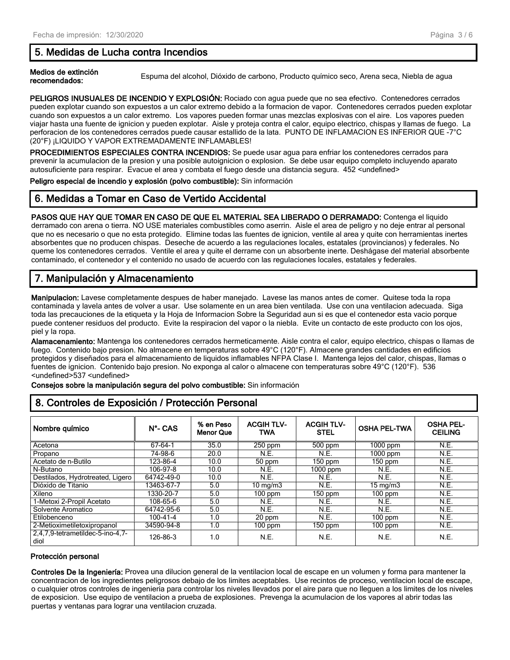## 5. Medidas de Lucha contra Incendios

Medios de extinción<br>recomendados: Espuma del alcohol, Dióxido de carbono, Producto químico seco, Arena seca, Niebla de agua

PELIGROS INUSUALES DE INCENDIO Y EXPLOSIÓN: Rociado con agua puede que no sea efectivo. Contenedores cerrados pueden explotar cuando son expuestos a un calor extremo debido a la formacion de vapor. Contenedores cerrados pueden explotar cuando son expuestos a un calor extremo. Los vapores pueden formar unas mezclas explosivas con el aire. Los vapores pueden viajar hasta una fuente de ignicion y pueden explotar. Aisle y proteja contra el calor, equipo electrico, chispas y llamas de fuego. La perforacion de los contenedores cerrados puede causar estallido de la lata. PUNTO DE INFLAMACION ES INFERIOR QUE -7°C (20°F) ¡LIQUIDO Y VAPOR EXTREMADAMENTE INFLAMABLES!

PROCEDIMIENTOS ESPECIALES CONTRA INCENDIOS: Se puede usar agua para enfriar los contenedores cerrados para prevenir la acumulacion de la presion y una posible autoignicion o explosion. Se debe usar equipo completo incluyendo aparato autosuficiente para respirar. Evacue el area y combata el fuego desde una distancia segura. 452 <undefined>

Peligro especial de incendio y explosión (polvo combustible): Sin información

## 6. Medidas a Tomar en Caso de Vertido Accidental

PASOS QUE HAY QUE TOMAR EN CASO DE QUE EL MATERIAL SEA LIBERADO O DERRAMADO: Contenga el liquido derramado con arena o tierra. NO USE materiales combustibles como aserrin. Aisle el area de peligro y no deje entrar al personal que no es necesario o que no esta protegido. Elimine todas las fuentes de ignicion, ventile al area y quite con herramientas inertes absorbentes que no producen chispas. Deseche de acuerdo a las regulaciones locales, estatales (provincianos) y federales. No queme los contenedores cerrados. Ventile el area y quite el derrame con un absorbente inerte. Deshágase del material absorbente contaminado, el contenedor y el contenido no usado de acuerdo con las regulaciones locales, estatales y federales.

## 7. Manipulación y Almacenamiento

Manipulacion: Lavese completamente despues de haber manejado. Lavese las manos antes de comer. Quitese toda la ropa contaminada y lavela antes de volver a usar. Use solamente en un area bien ventilada. Use con una ventilacion adecuada. Siga toda las precauciones de la etiqueta y la Hoja de Informacion Sobre la Seguridad aun si es que el contenedor esta vacio porque puede contener residuos del producto. Evite la respiracion del vapor o la niebla. Evite un contacto de este producto con los ojos, piel y la ropa.

Alamacenamiento: Mantenga los contenedores cerrados hermeticamente. Aisle contra el calor, equipo electrico, chispas o llamas de fuego. Contenido bajo presion. No almacene en temperaturas sobre 49°C (120°F). Almacene grandes cantidades en edificios protegidos y diseñados para el almacenamiento de liquidos inflamables NFPA Clase I. Mantenga lejos del calor, chispas, llamas o fuentes de ignicion. Contenido bajo presion. No exponga al calor o almacene con temperaturas sobre 49°C (120°F). 536 <undefined>537 <undefined>

Consejos sobre la manipulación segura del polvo combustible: Sin información

| Nombre químico                           | $N^{\circ}$ - CAS | % en Peso<br><b>Menor Que</b> | <b>ACGIH TLV-</b><br><b>TWA</b> | <b>ACGIH TLV-</b><br><b>STEL</b> | <b>OSHA PEL-TWA</b> | <b>OSHA PEL-</b><br><b>CEILING</b> |  |
|------------------------------------------|-------------------|-------------------------------|---------------------------------|----------------------------------|---------------------|------------------------------------|--|
| Acetona                                  | 67-64-1           | 35.0                          | $250$ ppm                       | 500 ppm                          | $1000$ ppm          | N.E.                               |  |
| Propano                                  | 74-98-6           | 20.0                          | N.E.                            | N.E.                             | $1000$ ppm          | N.E.                               |  |
| Acetato de n-Butilo                      | 123-86-4          | 10.0                          | 50 ppm                          | $150$ ppm                        | $150$ ppm           | N.E.                               |  |
| N-Butano                                 | 106-97-8          | 10.0                          | N.E.                            | $1000$ ppm                       | N.E.                | N.E.                               |  |
| Destilados, Hydrotreated, Ligero         | 64742-49-0        | 10.0                          | N.E.                            | N.E.                             | N.E.                | N.E.                               |  |
| Dióxido de Titanio                       | 3463-67-7         | 5.0                           | $10 \text{ mg/m}$               | N.E.                             | $15 \text{ mg/m}$   | N.E.                               |  |
| Xileno                                   | 1330-20-7         | 5.0                           | $100$ ppm                       | $150$ ppm                        | $100$ ppm           | N.E.                               |  |
| 1-Metoxi 2-Propil Acetato                | 108-65-6          | 5.0                           | N.E.                            | N.E.                             | N.E.                | N.E.                               |  |
| Solvente Aromatico                       | 64742-95-6        | 5.0                           | N.E.                            | N.E.                             | N.E.                | N.E.                               |  |
| Etilobenceno                             | $100 - 41 - 4$    | 1.0                           | 20 ppm                          | N.E.                             | $100$ ppm           | N.E.                               |  |
| 2-Metioximetiletoxipropanol              | 34590-94-8        | 1.0                           | $100$ ppm                       | $150$ ppm                        | $100$ ppm           | N.E.                               |  |
| 2,4,7,9-tetrametildec-5-ino-4,7-<br>diol | 126-86-3          | 1.0                           | N.E.                            | N.E.                             | N.E.                | N.E.                               |  |

## 8. Controles de Exposición / Protección Personal

#### Protección personal

Controles De la Ingeniería: Provea una dilucion general de la ventilacion local de escape en un volumen y forma para mantener la concentracion de los ingredientes peligrosos debajo de los limites aceptables. Use recintos de proceso, ventilacion local de escape, o cualquier otros controles de ingenieria para controlar los niveles llevados por el aire para que no lleguen a los limites de los niveles de exposicion. Use equipo de ventilacion a prueba de explosiones. Prevenga la acumulacion de los vapores al abrir todas las puertas y ventanas para lograr una ventilacion cruzada.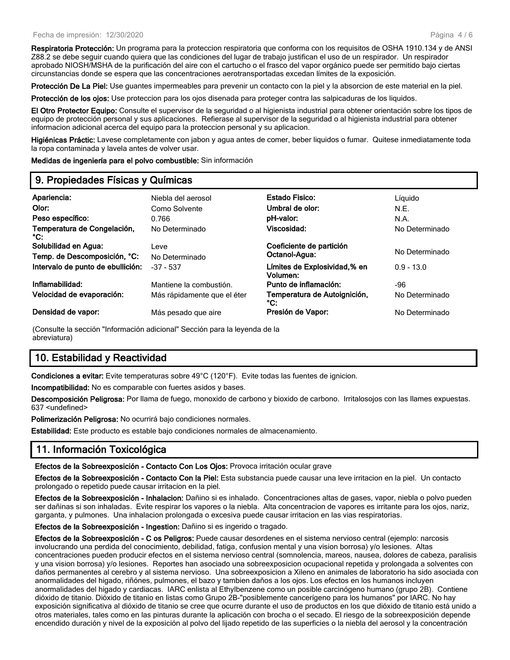Respiratoria Protección: Un programa para la proteccion respiratoria que conforma con los requisitos de OSHA 1910.134 y de ANSI Z88.2 se debe seguir cuando quiera que las condiciones del lugar de trabajo justifican el uso de un respirador. Un respirador aprobado NIOSH/MSHA de la purificación del aire con el cartucho o el frasco del vapor orgánico puede ser permitido bajo ciertas circunstancias donde se espera que las concentraciones aerotransportadas excedan límites de la exposición.

Protección De La Piel: Use guantes impermeables para prevenir un contacto con la piel y la absorcion de este material en la piel.

Protección de los ojos: Use proteccion para los ojos disenada para proteger contra las salpicaduras de los liquidos.

El Otro Protector Equipo: Consulte el supervisor de la seguridad o al higienista industrial para obtener orientación sobre los tipos de equipo de protección personal y sus aplicaciones. Refierase al supervisor de la seguridad o al higienista industrial para obtener informacion adicional acerca del equipo para la proteccion personal y su aplicacion.

Higiénicas Práctic: Lavese completamente con jabon y agua antes de comer, beber liquidos o fumar. Quitese inmediatamente toda la ropa contaminada y lavela antes de volver usar.

Medidas de ingeniería para el polvo combustible: Sin información

## 9. Propiedades Físicas y Químicas

| Apariencia:                                  | Niebla del aerosol          | <b>Estado Fisico:</b>                    | Líquido        |
|----------------------------------------------|-----------------------------|------------------------------------------|----------------|
| Olor:                                        | Como Solvente               | Umbral de olor:                          | N.E.           |
| Peso específico:                             | 0.766                       | pH-valor:                                | N.A.           |
| Temperatura de Congelación,<br>$^{\circ}$ C: | No Determinado              | Viscosidad:                              | No Determinado |
| Solubilidad en Agua:                         | Leve                        | Coeficiente de partición                 | No Determinado |
| Temp. de Descomposición, °C:                 | No Determinado              | Octanol-Agua:                            |                |
| Intervalo de punto de ebullición:            | $-37 - 537$                 | Límites de Explosividad,% en<br>Volumen: | $0.9 - 13.0$   |
| Inflamabilidad:                              | Mantiene la combustión.     | Punto de inflamación:                    | -96            |
| Velocidad de evaporación:                    | Más rápidamente que el éter | Temperatura de Autoignición,<br>°C:      | No Determinado |
| Densidad de vapor:                           | Más pesado que aire         | Presión de Vapor:                        | No Determinado |

(Consulte la sección "Información adicional" Sección para la leyenda de la abreviatura)

## 10. Estabilidad y Reactividad

Condiciones a evitar: Evite temperaturas sobre 49°C (120°F). Evite todas las fuentes de ignicion.

Incompatibilidad: No es comparable con fuertes asidos y bases.

Descomposición Peligrosa: Por llama de fuego, monoxido de carbono y bioxido de carbono. Irritalosojos con las llames expuestas. 637 <undefined>

Polimerización Peligrosa: No ocurrirá bajo condiciones normales.

Estabilidad: Este producto es estable bajo condiciones normales de almacenamiento.

## 11. Información Toxicológica

Efectos de la Sobreexposición - Contacto Con Los Ojos: Provoca irritación ocular grave

Efectos de la Sobreexposición - Contacto Con la Piel: Esta substancia puede causar una leve irritacion en la piel. Un contacto prolongado o repetido puede causar irritacion en la piel.

Efectos de la Sobreexposición - Inhalacion: Dañino si es inhalado. Concentraciones altas de gases, vapor, niebla o polvo pueden ser dañinas si son inhaladas. Evite respirar los vapores o la niebla. Alta concentracion de vapores es irritante para los ojos, nariz, garganta, y pulmones. Una inhalacion prolongada o excesiva puede causar irritacion en las vias respiratorias.

Efectos de la Sobreexposición - Ingestion: Dañino si es ingerido o tragado.

Efectos de la Sobreexposición - C os Peligros: Puede causar desordenes en el sistema nervioso central (ejemplo: narcosis involucrando una perdida del conocimiento, debilidad, fatiga, confusion mental y una vision borrosa) y/o lesiones. Altas concentraciones pueden producir efectos en el sistema nervioso central (somnolencia, mareos, nausea, dolores de cabeza, paralisis y una vision borrosa) y/o lesiones. Reportes han asociado una sobreexposicion ocupacional repetida y prolongada a solventes con daños permanentes al cerebro y al sistema nervioso. Una sobreexposicion a Xileno en animales de laboratorio ha sido asociada con anormalidades del higado, riñónes, pulmones, el bazo y tambien daños a los ojos. Los efectos en los humanos incluyen anormalidades del higado y cardiacas. IARC enlista al Ethylbenzene como un posible carcinógeno humano (grupo 2B). Contiene dióxido de titanio. Dióxido de titanio en listas como Grupo 2B-"posiblemente cancerígeno para los humanos" por IARC. No hay exposición significativa al dióxido de titanio se cree que ocurre durante el uso de productos en los que dióxido de titanio está unido a otros materiales, tales como en las pinturas durante la aplicación con brocha o el secado. El riesgo de la sobreexposición depende encendido duración y nivel de la exposición al polvo del lijado repetido de las superficies o la niebla del aerosol y la concentración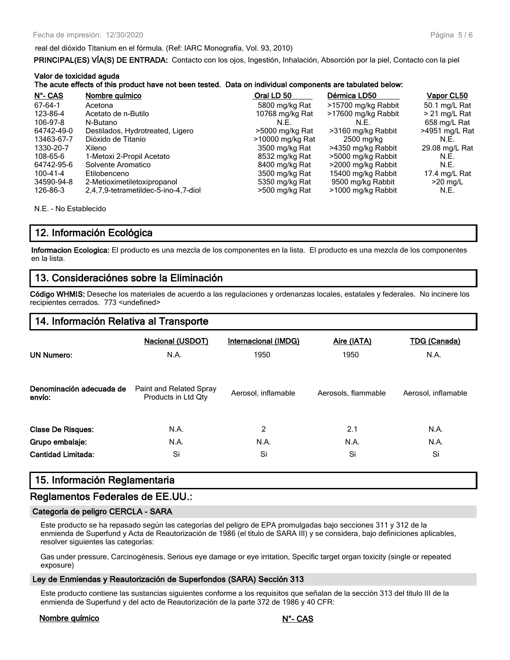#### real del dióxido Titanium en el fórmula. (Ref: IARC Monografía, Vol. 93, 2010)

PRINCIPAL(ES) VÍA(S) DE ENTRADA: Contacto con los ojos, Ingestión, Inhalación, Absorción por la piel, Contacto con la piel

| Valor de toxicidad aguda | The acute effects of this product have not been tested. Data on individual components are tabulated below: |                  |                     |                |
|--------------------------|------------------------------------------------------------------------------------------------------------|------------------|---------------------|----------------|
| N°- CAS                  | Nombre químico                                                                                             | Oral LD 50       | Dérmica LD50        | Vapor CL50     |
| 67-64-1                  | Acetona                                                                                                    | 5800 mg/kg Rat   | >15700 mg/kg Rabbit | 50.1 mg/L Rat  |
| 123-86-4                 | Acetato de n-Butilo                                                                                        | 10768 mg/kg Rat  | >17600 mg/kg Rabbit | > 21 mg/L Rat  |
| 106-97-8                 | N-Butano                                                                                                   | N.E.             | N.F.                | 658 mg/L Rat   |
| 64742-49-0               | Destilados, Hydrotreated, Ligero                                                                           | >5000 mg/kg Rat  | >3160 mg/kg Rabbit  | >4951 mg/L Rat |
| 13463-67-7               | Dióxido de Titanio                                                                                         | >10000 mg/kg Rat | 2500 mg/kg          | N.E.           |
| 1330-20-7                | Xileno                                                                                                     | 3500 mg/kg Rat   | >4350 mg/kg Rabbit  | 29.08 mg/L Rat |
| 108-65-6                 | 1-Metoxi 2-Propil Acetato                                                                                  | 8532 mg/kg Rat   | >5000 mg/kg Rabbit  | N.E.           |
| 64742-95-6               | Solvente Aromatico                                                                                         | 8400 mg/kg Rat   | >2000 mg/kg Rabbit  | N.E.           |
| 100-41-4                 | Etilobenceno                                                                                               | 3500 mg/kg Rat   | 15400 mg/kg Rabbit  | 17.4 mg/L Rat  |
| 34590-94-8               | 2-Metioximetiletoxipropanol                                                                                | 5350 mg/kg Rat   | 9500 mg/kg Rabbit   | $>20$ mg/L     |
| 126-86-3                 | 2,4,7,9-tetrametildec-5-ino-4,7-diol                                                                       | >500 mg/kg Rat   | >1000 mg/kg Rabbit  | N.E.           |

N.E. - No Establecido

## 12. Información Ecológica

Informacion Ecologica: El producto es una mezcla de los componentes en la lista. El producto es una mezcla de los componentes en la lista.

## 13. Consideraciónes sobre la Eliminación

Código WHMIS: Deseche los materiales de acuerdo a las regulaciones y ordenanzas locales, estatales y federales. No incinere los recipientes cerrados. 773 <undefined>

#### 14. Información Relativa al Transporte

| <b>UN Numero:</b>                  | <b>Nacional (USDOT)</b><br>N.A.                | Internacional (IMDG)<br>1950 | Aire (IATA)<br>1950 | <u>TDG (Canada)</u><br>N.A. |
|------------------------------------|------------------------------------------------|------------------------------|---------------------|-----------------------------|
| Denominación adecuada de<br>envío: | Paint and Related Spray<br>Products in Ltd Qty | Aerosol. inflamable          | Aerosols, flammable | Aerosol, inflamable         |
| <b>Clase De Risques:</b>           | N.A.                                           | 2                            | 2.1                 | N.A.                        |
| Grupo embalaje:                    | N.A.                                           | N.A.                         | N.A.                | N.A.                        |
| <b>Cantidad Limitada:</b>          | Si                                             | Si                           | Si                  | Si                          |

## 15. Información Reglamentaria

#### Reglamentos Federales de EE.UU.:

#### Categoría de peligro CERCLA - SARA

Este producto se ha repasado según las categorías del peligro de EPA promulgadas bajo secciones 311 y 312 de la enmienda de Superfund y Acta de Reautorización de 1986 (el título de SARA III) y se considera, bajo definiciones aplicables, resolver siguientes las categorías:

Gas under pressure, Carcinogénesis, Serious eye damage or eye irritation, Specific target organ toxicity (single or repeated exposure)

#### Ley de Enmiendas y Reautorización de Superfondos (SARA) Sección 313

Este producto contiene las sustancias siguientes conforme a los requisitos que señalan de la sección 313 del título III de la enmienda de Superfund y del acto de Reautorización de la parte 372 de 1986 y 40 CFR:

#### Nombre químico N°- CAS